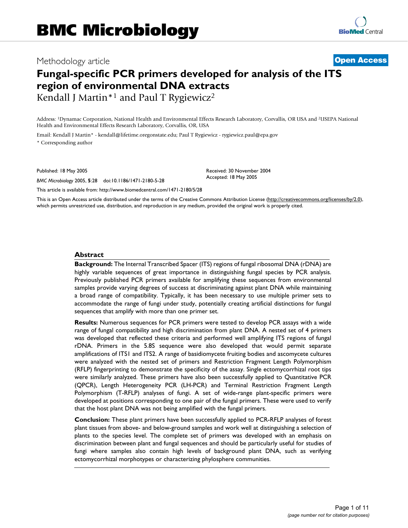# Methodology article **[Open Access](http://www.biomedcentral.com/info/about/charter/) Fungal-specific PCR primers developed for analysis of the ITS region of environmental DNA extracts** Kendall J Martin\*1 and Paul T Rygiewicz2

Address: 1Dynamac Corporation, National Health and Environmental Effects Research Laboratory, Corvallis, OR USA and 2USEPA National Health and Environmental Effects Research Laboratory, Corvallis, OR, USA

Email: Kendall J Martin\* - kendall@lifetime.oregonstate.edu; Paul T Rygiewicz - rygiewicz.paul@epa.gov \* Corresponding author

Published: 18 May 2005

*BMC Microbiology* 2005, **5**:28 doi:10.1186/1471-2180-5-28

Received: 30 November 2004 Accepted: 18 May 2005

[This article is available from: http://www.biomedcentral.com/1471-2180/5/28](http://www.biomedcentral.com/1471-2180/5/28) This is an Open Access article distributed under the terms of the Creative Commons Attribution License [\(http://creativecommons.org/licenses/by/2.0\)](http://creativecommons.org/licenses/by/2.0),

which permits unrestricted use, distribution, and reproduction in any medium, provided the original work is properly cited.

#### **Abstract**

**Background:** The Internal Transcribed Spacer (ITS) regions of fungal ribosomal DNA (rDNA) are highly variable sequences of great importance in distinguishing fungal species by PCR analysis. Previously published PCR primers available for amplifying these sequences from environmental samples provide varying degrees of success at discriminating against plant DNA while maintaining a broad range of compatibility. Typically, it has been necessary to use multiple primer sets to accommodate the range of fungi under study, potentially creating artificial distinctions for fungal sequences that amplify with more than one primer set.

**Results:** Numerous sequences for PCR primers were tested to develop PCR assays with a wide range of fungal compatibility and high discrimination from plant DNA. A nested set of 4 primers was developed that reflected these criteria and performed well amplifying ITS regions of fungal rDNA. Primers in the 5.8S sequence were also developed that would permit separate amplifications of ITS1 and ITS2. A range of basidiomycete fruiting bodies and ascomycete cultures were analyzed with the nested set of primers and Restriction Fragment Length Polymorphism (RFLP) fingerprinting to demonstrate the specificity of the assay. Single ectomycorrhizal root tips were similarly analyzed. These primers have also been successfully applied to Quantitative PCR (QPCR), Length Heterogeneity PCR (LH-PCR) and Terminal Restriction Fragment Length Polymorphism (T-RFLP) analyses of fungi. A set of wide-range plant-specific primers were developed at positions corresponding to one pair of the fungal primers. These were used to verify that the host plant DNA was not being amplified with the fungal primers.

**Conclusion:** These plant primers have been successfully applied to PCR-RFLP analyses of forest plant tissues from above- and below-ground samples and work well at distinguishing a selection of plants to the species level. The complete set of primers was developed with an emphasis on discrimination between plant and fungal sequences and should be particularly useful for studies of fungi where samples also contain high levels of background plant DNA, such as verifying ectomycorrhizal morphotypes or characterizing phylosphere communities.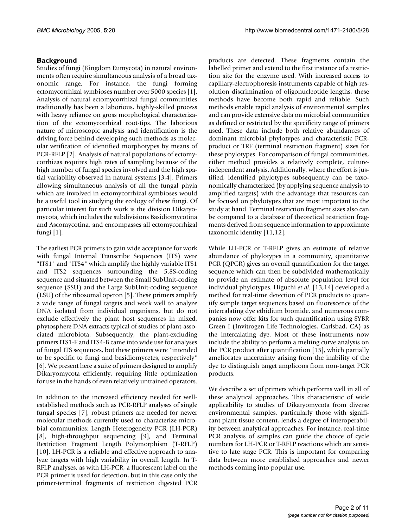# **Background**

Studies of fungi (Kingdom Eumycota) in natural environments often require simultaneous analysis of a broad taxonomic range. For instance, the fungi forming ectomycorrhizal symbioses number over 5000 species [1]. Analysis of natural ectomycorrhizal fungal communities traditionally has been a laborious, highly-skilled process with heavy reliance on gross morphological characterization of the ectomycorrhizal root-tips. The laborious nature of microscopic analysis and identification is the driving force behind developing such methods as molecular verification of identified morphotypes by means of PCR-RFLP [2]. Analysis of natural populations of ectomycorrhizas requires high rates of sampling because of the high number of fungal species involved and the high spatial variability observed in natural systems [3,4]. Primers allowing simultaneous analysis of all the fungal phyla which are involved in ectomycorrhizal symbioses would be a useful tool in studying the ecology of these fungi. Of particular interest for such work is the division Dikaryomycota, which includes the subdivisions Basidiomycotina and Ascomycotina, and encompasses all ectomycorrhizal fungi [1].

The earliest PCR primers to gain wide acceptance for work with fungal Internal Transcribe Sequences (ITS) were "ITS1" and "ITS4" which amplify the highly variable ITS1 and ITS2 sequences surrounding the 5.8S-coding sequence and situated between the Small SubUnit-coding sequence (SSU) and the Large SubUnit-coding sequence (LSU) of the ribosomal operon [5]. These primers amplify a wide range of fungal targets and work well to analyze DNA isolated from individual organisms, but do not exclude effectively the plant host sequences in mixed, phytosphere DNA extracts typical of studies of plant-associated microbiota. Subsequently, the plant-excluding primers ITS1-F and ITS4-B came into wide use for analyses of fungal ITS sequences, but these primers were "intended to be specific to fungi and basidiomycetes, respectively" [6]. We present here a suite of primers designed to amplify Dikaryomycota efficiently, requiring little optimization for use in the hands of even relatively untrained operators.

In addition to the increased efficiency needed for wellestablished methods such as PCR-RFLP analyses of single fungal species [7], robust primers are needed for newer molecular methods currently used to characterize microbial communities: Length Heterogeneity PCR (LH-PCR) [8], high-throughput sequencing [9], and Terminal Restriction Fragment Length Polymorphism (T-RFLP) [10]. LH-PCR is a reliable and effective approach to analyze targets with high variability in overall length. In T-RFLP analyses, as with LH-PCR, a fluorescent label on the PCR primer is used for detection, but in this case only the primer-terminal fragments of restriction digested PCR products are detected. These fragments contain the labelled primer and extend to the first instance of a restriction site for the enzyme used. With increased access to capillary-electrophoresis instruments capable of high resolution discrimination of oligonucleotide lengths, these methods have become both rapid and reliable. Such methods enable rapid analysis of environmental samples and can provide extensive data on microbial communities as defined or restricted by the specificity range of primers used. These data include both relative abundances of dominant microbial phylotypes and characteristic PCRproduct or TRF (terminal restriction fragment) sizes for these phylotypes. For comparison of fungal communities, either method provides a relatively complete, cultureindependent analysis. Additionally, where the effort is justified, identified phylotypes subsequently can be taxonomically characterized (by applying sequence analysis to amplified targets) with the advantage that resources can be focused on phylotypes that are most important to the study at hand. Terminal restriction fragment sizes also can be compared to a database of theoretical restriction fragments derived from sequence information to approximate taxonomic identity [11,12].

While LH-PCR or T-RFLP gives an estimate of relative abundance of phylotypes in a community, quantitative PCR (QPCR) gives an overall quantification for the target sequence which can then be subdivided mathematically to provide an estimate of absolute population level for individual phylotypes. Higuchi *et al.* [13,14] developed a method for real-time detection of PCR products to quantify sample target sequences based on fluorescence of the intercalating dye ethidium bromide, and numerous companies now offer kits for such quantification using SYBR Green I (Invitrogen Life Technologies, Carlsbad, CA) as the intercalating dye. Most of these instruments now include the ability to perform a melting curve analysis on the PCR product after quantification [15], which partially ameliorates uncertainty arising from the inability of the dye to distinguish target amplicons from non-target PCR products.

We describe a set of primers which performs well in all of these analytical approaches. This characteristic of wide applicability to studies of Dikaryomycota from diverse environmental samples, particularly those with significant plant tissue content, lends a degree of interoperability between analytical approaches. For instance, real-time PCR analysis of samples can guide the choice of cycle numbers for LH-PCR or T-RFLP reactions which are sensitive to late stage PCR. This is important for comparing data between more established approaches and newer methods coming into popular use.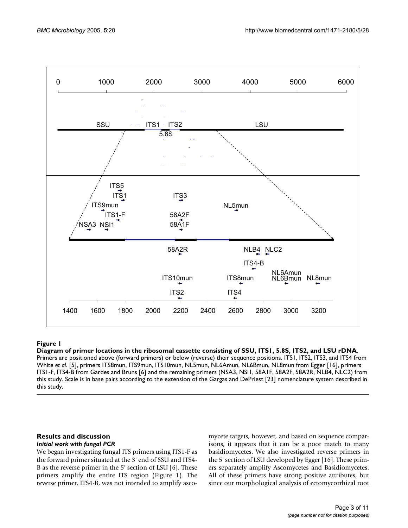

# Diagram of primer locations in the **Figure 1** ribosomal cassette consisting of SSU, ITS1, 5.8S, ITS2, and LSU rDNA

**Diagram of primer locations in the ribosomal cassette consisting of SSU, ITS1, 5.8S, ITS2, and LSU rDNA**. Primers are positioned above (forward primers) or below (reverse) their sequence positions. ITS1, ITS2, ITS3, and ITS4 from White *et al*. [5], primers ITS8mun, ITS9mun, ITS10mun, NL5mun, NL6Amun, NL6Bmun, NL8mun from Egger [16], primers ITS1-F, ITS4-B from Gardes and Bruns [6] and the remaining primers (NSA3, NSI1, 58A1F, 58A2F, 58A2R, NLB4, NLC2) from this study. Scale is in base pairs according to the extension of the Gargas and DePriest [23] nomenclature system described in this study.

# **Results and discussion**

# *Initial work with fungal PCR*

We began investigating fungal ITS primers using ITS1-F as the forward primer situated at the 3' end of SSU and ITS4- B as the reverse primer in the 5' section of LSU [6]. These primers amplify the entire ITS region (Figure 1). The reverse primer, ITS4-B, was not intended to amplify ascomycete targets, however, and based on sequence comparisons, it appears that it can be a poor match to many basidiomycetes. We also investigated reverse primers in the 5' section of LSU developed by Egger [16]. These primers separately amplify Ascomycetes and Basidiomycetes. All of these primers have strong positive attributes, but since our morphological analysis of ectomycorrhizal root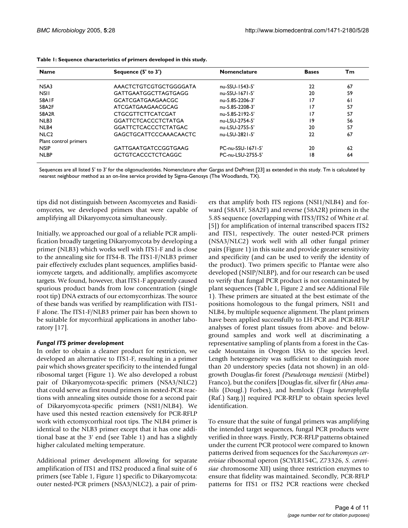| <b>Name</b>           | Sequence (5' to 3')           | <b>Nomenclature</b> | <b>Bases</b> | Тm |
|-----------------------|-------------------------------|---------------------|--------------|----|
| NSA3                  | AAACTCTGTCGTGCTGGGGATA        | nu-SSU-1543-5'      | 22           | 67 |
| <b>NSII</b>           | GATTGAATGGCTTAGTGAGG          | nu-SSU-1671-5'      | 20           | 59 |
| 58A1F                 | <b>GCATCGATGAAGAACGC</b>      | nu-5.8S-2206-3'     | 17           | 61 |
| 58A2F                 | ATCGATGAAGAACGCAG             | nu-5.8S-2208-3'     | 17           | 57 |
| 58A2R                 | <b>CTGCGTTCTTCATCGAT</b>      | nu-5.8S-2192-5'     | 17           | 57 |
| NLB3                  | <b>GGATTCTCACCCTCTATGA</b>    | nu-LSU-2754-5'      | 19           | 56 |
| NLB4                  | <b>GGATTCTCACCCTCTATGAC</b>   | nu-LSU-2755-5'      | 20           | 57 |
| NLC <sub>2</sub>      | <b>GAGCTGCATTCCCAAACAACTC</b> | nu-LSU-2821-5'      | 22           | 67 |
| Plant control primers |                               |                     |              |    |
| <b>NSIP</b>           | <b>GATTGAATGATCCGGTGAAG</b>   | PC-nu-SSU-1671-5'   | 20           | 62 |
| <b>NLBP</b>           | <b>GCTGTCACCCTCTCAGGC</b>     | PC-nu-LSU-2755-5'   | 18           | 64 |

| Table 1: Sequence characteristics of primers developed in this study. |  |  |
|-----------------------------------------------------------------------|--|--|
|                                                                       |  |  |

Sequences are all listed 5' to 3' for the oligonucleotides. Nomenclature after Gargas and DePriest [23] as extended in this study. Tm is calculated by nearest neighbour method as an on-line service provided by Sigma-Genosys (The Woodlands, TX).

tips did not distinguish between Ascomycetes and Basidiomycetes, we developed primers that were capable of amplifying all Dikaryomycota simultaneously.

Initially, we approached our goal of a reliable PCR amplification broadly targeting Dikaryomycota by developing a primer (NLB3) which works well with ITS1-F and is close to the annealing site for ITS4-B. The ITS1-F/NLB3 primer pair effectively excludes plant sequences, amplifies basidiomycete targets, and additionally, amplifies ascomycete targets. We found, however, that ITS1-F apparently caused spurious product bands from low concentration (single root tip) DNA extracts of our ectomycorrhizas. The source of these bands was verified by reamplification with ITS1- F alone. The ITS1-F/NLB3 primer pair has been shown to be suitable for mycorrhizal applications in another laboratory [[17\]](#page-9-0).

# *Fungal ITS primer development*

In order to obtain a cleaner product for restriction, we developed an alternative to ITS1-F, resulting in a primer pair which shows greater specificity to the intended fungal ribosomal target (Figure 1). We also developed a robust pair of Dikaryomycota-specific primers (NSA3/NLC2) that could serve as first round primers in nested-PCR reactions with annealing sites outside those for a second pair of Dikaryomycota-specific primers (NSI1/NLB4). We have used this nested reaction extensively for PCR-RFLP work with ectomycorrhizal root tips. The NLB4 primer is identical to the NLB3 primer except that it has one additional base at the 3' end (see Table 1) and has a slightly higher calculated melting temperature.

Additional primer development allowing for separate amplification of ITS1 and ITS2 produced a final suite of 6 primers (see Table 1, Figure 1) specific to Dikaryomycota: outer nested-PCR primers (NSA3/NLC2), a pair of primers that amplify both ITS regions (NSI1/NLB4) and forward (58A1F, 58A2F) and reverse (58A2R) primers in the 5.8S sequence (overlapping with ITS3/ITS2 of White *et al.* [5]) for amplification of internal transcribed spacers ITS2 and ITS1, respectively. The outer nested-PCR primers (NSA3/NLC2) work well with all other fungal primer pairs (Figure 1) in this suite and provide greater sensitivity and specificity (and can be used to verify the identity of the product). Two primers specific to Plantae were also developed (NSIP/NLBP), and for our research can be used to verify that fungal PCR product is not contaminated by plant sequences (Table 1, Figure 2 and see Additional File 1). These primers are situated at the best estimate of the positions homologous to the fungal primers, NSI1 and NLB4, by multiple sequence alignment. The plant primers have been applied successfully to LH-PCR and PCR-RFLP analyses of forest plant tissues from above- and belowground samples and work well at discriminating a representative sampling of plants from a forest in the Cascade Mountains in Oregon USA to the species level. Length heterogeneity was sufficient to distinguish more than 20 understory species (data not shown) in an oldgrowth Douglas-fir forest *(Pseudotsuga menziesii* (Mirbel) Franco), but the conifers [Douglas-fir, silver fir (*Abies amabilis* (Dougl.) Forbes), and hemlock (*Tsuga heterophylla* (Raf.) Sarg.)] required PCR-RFLP to obtain species level identification.

To ensure that the suite of fungal primers was amplifying the intended target sequences, fungal PCR products were verified in three ways. Firstly, PCR-RFLP patterns obtained under the current PCR protocol were compared to known patterns derived from sequences for the *Saccharomyces cerevisiae* ribosomal operon (SCYLR154C, Z73326, *S. cerevisiae* chromosome XII) using three restriction enzymes to ensure that fidelity was maintained. Secondly, PCR-RFLP patterns for ITS1 or ITS2 PCR reactions were checked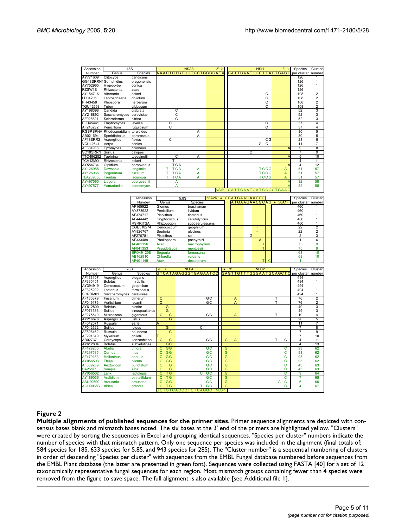| Accession            | 18S                       |                  |                                             | NSA3             | 3'                    | ⋗      |    |               | <b>NSI1</b>      |               | $3'$ $\geq$                 | Species                 | Cluster                 |
|----------------------|---------------------------|------------------|---------------------------------------------|------------------|-----------------------|--------|----|---------------|------------------|---------------|-----------------------------|-------------------------|-------------------------|
| Number               | Genus                     | Species          | A A A C T C T G T C G T G C T G G G G A T A |                  |                       |        |    |               |                  |               | GATTGAATGGCTTAGTGAGG        | per cluster number      |                         |
| AY771609             | Clitocybe                 | candicans        |                                             |                  |                       |        |    |               |                  |               |                             | 126                     | 1                       |
| GG18SRRN1Gomphidius  |                           | oregonensis      |                                             |                  |                       |        |    |               |                  |               |                             | 126                     | 1                       |
| AY752965             | Hygrocybe                 | conica           |                                             |                  |                       |        |    |               |                  |               |                             | 126                     | 1                       |
| RZSW1S               | Rhizoctonia               | zeae             |                                             |                  |                       |        |    |               |                  |               |                             | 126                     | 1                       |
| AY154716             | Alternaria                | solani           |                                             |                  |                       |        |    |               |                  | C             |                             | 108                     | 2                       |
| LD04205              | Leptosphaeria             | doliolum         |                                             |                  |                       |        |    |               |                  |               |                             | 108                     | $\overline{\mathbf{c}}$ |
| PH43458              | Pleospora                 | herbarum         |                                             |                  |                       |        |    |               |                  | $\frac{C}{C}$ |                             | 108                     | $\overline{\mathbf{c}}$ |
| TGU42663             | Tuber                     | gibbosum         |                                             |                  |                       |        |    |               |                  | C             |                             | 108                     | $\overline{c}$          |
| AY198398             | Candida                   | glabrata         |                                             |                  |                       |        |    |               |                  |               |                             | 52                      | 3                       |
| AY218892             | Saccharomyces             | cerevisiae       | $\frac{c}{c}$                               |                  |                       |        |    |               |                  |               |                             | 52                      | 3                       |
| AF026621             | Scleroderma               | citrina          | $\mathsf{C}$                                |                  |                       |        |    |               |                  |               |                             | 52                      | 3                       |
| ELU45441             | Elaphomyces               | leveillei        | С                                           |                  |                       |        |    |               |                  | C             |                             | 37                      | $\overline{4}$          |
| AF245232             | Penicillium               | rugulosum        | C                                           |                  |                       |        |    |               |                  | C             |                             | 37                      | 4                       |
| RGSRSRNA             | Rhodosporidium            | toruloides       |                                             | Α                |                       |        |    |               |                  |               |                             | 30                      | 5                       |
| AB021694             | Sporidiobolus             | pararoseus       |                                             | Α                |                       |        |    |               |                  |               |                             | 30                      | 5                       |
| AF18SRR2             | Aspergillus               | flavus           | C                                           |                  |                       |        |    |               |                  | C G           |                             | 23                      | 6                       |
| VCU42644             | Verpa                     | conica           |                                             |                  |                       |        |    |               | G                | C             |                             | 11                      | 7                       |
| AF334938             | Tyromyces                 | chioneus         |                                             |                  |                       |        |    |               |                  |               | A                           | 9                       | 8                       |
| SC18SRRN             | Suillus                   | cavipes          |                                             |                  |                       |        |    | C             |                  |               |                             | $\overline{7}$          | 9                       |
| TTO496252            | Taphrina                  |                  | C                                           | Α                |                       |        |    |               |                  |               |                             | 5                       | 10                      |
| TCV12MO              |                           | tosquinetii      | т                                           |                  |                       |        |    |               |                  |               |                             | 4                       | 11                      |
|                      | Rhizoctonia               | solani           |                                             |                  |                       |        |    |               |                  |               |                             |                         |                         |
| AY584734             | Olpidium                  | bornovanus       | TCA                                         | A                |                       |        |    |               |                  | TCCG          | A                           | $\overline{\mathbf{4}}$ | 12                      |
| AY126955             | Dawsonia                  | longifolia       | <b>TCA</b><br>т                             |                  |                       |        |    |               |                  |               | Α                           | 51                      | 57                      |
| AY126966             | Pogonatum                 | cirratum         | T<br><b>TCA</b>                             | A                |                       |        |    |               |                  | <b>TCCG</b>   | A                           | 51                      | 57                      |
| TLA239055            | Treubia                   | lacunosa         | T<br><b>TCA</b>                             | A                |                       |        |    |               |                  | <b>TCCG</b>   | A                           | 51                      | 57                      |
| AY497565             | Liagora                   | boergesenii      | Α<br>A                                      |                  |                       |        |    |               |                  |               |                             | 32<br>32                | 58<br>58                |
| AY497577             | Yamadaella                | caenomyce        |                                             |                  | <b>NSIP</b>           |        |    |               |                  |               | <b>GATTGAATGATCCGGTGAAC</b> |                         |                         |
|                      |                           |                  |                                             |                  |                       |        |    |               |                  |               |                             |                         |                         |
|                      |                           | Accession        |                                             | 5.8S             | $58A2R \triangleleft$ |        |    | CGATGAAGAACGC |                  |               |                             | Species                 | Cluster                 |
|                      |                           | Number           | Genus                                       | Species          |                       |        |    |               |                  |               | 58A1F                       | per cluster number      |                         |
|                      |                           | AF165922         | Glomus                                      | brasilianum      |                       |        |    |               |                  |               |                             | 460                     | 1                       |
|                      |                           | AY373922         | Penicillium                                 | lividum          |                       |        |    |               |                  |               |                             | 460                     | 1                       |
|                      |                           | AF374717         | Pisolithus                                  | tinctorius       |                       |        |    |               |                  |               |                             | 460                     | 1                       |
|                      |                           | AF444442         | Cryptococcus                                | cellulolyticus   |                       |        |    |               |                  |               |                             | 460                     | 1                       |
|                      |                           | RSRRITSA         | Rhizopogon                                  | subcaerulescens  |                       |        |    |               |                  |               |                             | 460                     | 1                       |
|                      |                           | CGE510274        | Cenococcum                                  | geophilum        |                       |        |    |               | ٠                |               |                             | 22                      | 2                       |
|                      |                           | AY826767         | Septoria                                    | glycines         |                       |        |    |               |                  |               |                             | 22                      | $\overline{2}$          |
|                      |                           | AF270781         | Pisolithus                                  | sp               |                       |        |    | G             |                  |               |                             | $\overline{2}$          | 3                       |
|                      |                           | AF333489         | Phakopsora                                  | pachyrhizi       |                       |        |    |               | Α                |               |                             | 1                       | 6                       |
|                      |                           | AF401156         | Acer                                        | macrophyllum     |                       |        |    |               |                  |               |                             | 75                      | 9                       |
|                      |                           | AF041353         | Pseudotsuga                                 | menziesii        |                       |        |    |               | ד                |               |                             | 75                      | g                       |
|                      |                           | <b>BFO491208</b> | Begonia                                     | formosana        |                       |        |    |               |                  |               |                             | 68                      | 10                      |
|                      |                           | AB162910         | Chlorella                                   | vulgaris         |                       |        |    |               |                  |               |                             | 68                      | 10                      |
|                      |                           | AF401149         | Acer                                        | decandrum        |                       |        |    |               |                  |               |                             | 1                       | 11                      |
| Accession            | 28S                       |                  | $\mathbf{3}$                                | NLB4             |                       |        | 3' |               | NLC <sub>2</sub> |               |                             | Species                 | Cluster                 |
| Number               | Genus                     | Species          | GTCATAGAGGGTGAGAATCO                        |                  |                       |        |    |               |                  |               | GAGTTGTTTGGGAATGCAGCTC      | per cluster number      |                         |
| AF433107             | Aspergillus               | elegans          |                                             |                  |                       |        |    |               |                  |               |                             | 494                     | 1                       |
| AF335451             | <b>Boletus</b>            | mirabilis        |                                             |                  |                       |        |    |               |                  |               |                             | 494                     | 1                       |
| AY394919             | Cenococcum                | geophilum        |                                             |                  |                       |        |    |               |                  |               |                             | 494                     | 1                       |
| AF325292             | Lactarius                 | torminosus       |                                             |                  |                       |        |    |               |                  |               |                             | 494                     | 1                       |
| SCRRM01              | Saccharomyces             | cerevisiae       |                                             |                  |                       |        |    |               |                  |               |                             | 494                     | 1                       |
| AF130379             | Fusarium                  | dimerum          | $\overline{c}$                              |                  | GC                    |        | A  |               |                  |               | T                           | 76                      | $\overline{\mathbf{2}}$ |
| AF049176             | Verticillium              | lecanii          | $\mathbf{C}$                                |                  | GC                    |        | A  |               |                  |               | T                           | 76                      | $\overline{2}$          |
| AY612800             | <b>Boletus</b>            | bicolor          | G                                           |                  |                       |        |    |               |                  |               |                             | 49                      | 3                       |
| AF071536             | Suillus                   | sinuspaulianus   | G                                           |                  |                       |        |    |               |                  |               |                             | 49                      | 3                       |
| AF275540             | Microascus                | giganteus        | $\mathbf C$<br>$\mathbf C$                  |                  | GC                    |        | A  |               |                  |               | T                           | 19                      | 4                       |
| AY216676             | Aspergillus               | ustus            | G                                           |                  |                       |        |    |               |                  |               |                             | 20                      | 5                       |
| AF042571             | Russula                   | earlei           |                                             |                  |                       |        |    |               |                  |               |                             | 11                      | 7                       |
| AF042622             | Suillus                   | luteus           | G                                           | С                |                       |        |    |               |                  |               |                             | 7                       | 8                       |
| AF506462             | Russula                   | nauseosa         | с                                           |                  |                       |        |    |               |                  |               |                             | 7                       | 9                       |
| AF291349             | Myxarium                  | arilletii        |                                             |                  |                       |        |    |               |                  |               |                             | 7                       | 10                      |
| AB027371             | Cordyceps                 | kanzashiana      | $\mathsf{C}$<br>C                           |                  | GC                    | G      | Α  |               |                  |               | C                           | 4                       | 11                      |
| AY612804             | <b>Boletus</b>            | subvelutipes     | GC                                          |                  |                       |        |    |               |                  |               |                             | 4                       | 13                      |
| AF479200             | Abelia                    | triflora         | C<br>GG                                     |                  | GC                    | G      |    |               |                  |               | с                           | 93                      | 62                      |
| AF297535             | Cornus                    | mas              | $\mathbf C$<br>GG                           |                  | GC                    | G      |    |               |                  |               | $\mathbf C$                 | 93                      | 62                      |
| AF479183             | Helianthus                | annuus           | $\mathbf C$<br>GG                           |                  | GC                    | G      |    |               |                  |               | $\mathbf C$                 | 93                      | 62                      |
| AY056503             | Thuia                     | plicata          | $\overline{C}$<br>GG                        |                  | GC                    | Ġ      |    |               |                  |               | C                           | 93                      | 62                      |
| AF389239             | Aextoxicon                | punctatum        | C<br>G                                      |                  | GC                    | G      |    |               |                  |               | C                           | 43                      | 63                      |
| SA25SR               | <b>Sinapis</b>            | alba             | $\mathbf C$<br>Ġ                            |                  | GC                    | Ġ      |    |               |                  |               | C                           | 43                      | 63                      |
| AY056502             | Larix                     | leptolepis       | C<br>ТG                                     | c                | GC                    | G      |    |               |                  |               | С                           | 9                       | 64                      |
| AY189036             | Aralidium                 | pinnatifidum     | C<br>ТG                                     |                  | GC                    | G      |    |               |                  |               | c                           | 7                       | 65                      |
| AAU90690<br>AGU90683 | Araucaria<br><b>Abies</b> | araucana         | $\overline{c}$<br>GG<br>C<br>ТG             | т                | GC<br>GC              | G<br>G |    |               |                  |               | C<br>A                      | 6<br>4                  | 66<br>67                |
|                      |                           | grandis          |                                             | TGTCACCCTCTCAGGC | N                     |        |    |               |                  |               |                             |                         |                         |
|                      |                           |                  |                                             |                  |                       |        |    |               |                  |               |                             |                         |                         |

#### **Figure 2**

**Multiple alignments of published sequences for the primer sites**. Primer sequence alignments are depicted with consensus bases blank and mismatch bases noted. The six bases at the 3' end of the primers are highlighted yellow. "Clusters" were created by sorting the sequences in Excel and grouping identical sequences. "Species per cluster" numbers indicate the number of species with that mismatch pattern. Only one sequence per species was included in the alignment (final totals of: 584 species for 18S, 633 species for 5.8S, and 943 species for 28S). The "Cluster number" is a sequential numbering of clusters in order of descending "Species per cluster" with sequences from the EMBL Fungal database numbered before sequences from the EMBL Plant database (the latter are presented in green font). Sequences were collected using FASTA [40] for a set of 12 taxonomically representative fungal sequences for each region. Most mismatch groups containing fewer than 4 species were removed from the figure to save space. The full alignment is also available [see Additional file 1].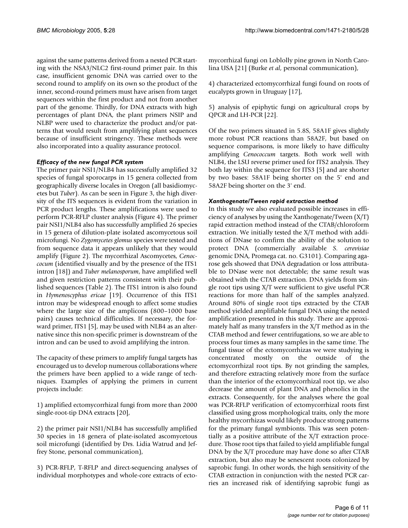against the same patterns derived from a nested PCR starting with the NSA3/NLC2 first-round primer pair. In this case, insufficient genomic DNA was carried over to the second round to amplify on its own so the product of the inner, second-round primers must have arisen from target sequences within the first product and not from another part of the genome. Thirdly, for DNA extracts with high percentages of plant DNA, the plant primers NSIP and NLBP were used to characterize the product and/or patterns that would result from amplifying plant sequences because of insufficient stringency. These methods were also incorporated into a quality assurance protocol.

# *Efficacy of the new fungal PCR system*

The primer pair NSI1/NLB4 has successfully amplified 32 species of fungal sporocarps in 15 genera collected from geographically diverse locales in Oregon (all basidiomycetes but *Tuber*). As can be seen in Figure [3,](#page-6-0) the high diversity of the ITS sequences is evident from the variation in PCR product lengths. These amplifications were used to perform PCR-RFLP cluster analysis (Figure [4\)](#page-7-0). The primer pair NSI1/NLB4 also has successfully amplified 26 species in 15 genera of dilution-plate isolated ascomycetous soil microfungi. No *Zygomycetes glomus* species were tested and from sequence data it appears unlikely that they would amplify (Figure 2). The mycorrhizal Ascomycetes, *Cenoccocum* (identified visually and by the presence of the ITS1 intron [18]) and *Tuber melanosporum*, have amplified well and given restriction patterns consistent with their published sequences (Table 2). The ITS1 intron is also found in *Hymenoscyphus ericae* [19]. Occurrence of this ITS1 intron may be widespread enough to affect some studies where the large size of the amplicons (800–1000 base pairs) causes technical difficulties. If necessary, the forward primer, ITS1 [5], may be used with NLB4 as an alternative since this non-specific primer is downstream of the intron and can be used to avoid amplifying the intron.

The capacity of these primers to amplify fungal targets has encouraged us to develop numerous collaborations where the primers have been applied to a wide range of techniques. Examples of applying the primers in current projects include:

1) amplified ectomycorrhizal fungi from more than 2000 single-root-tip DNA extracts [20],

2) the primer pair NSI1/NLB4 has successfully amplified 30 species in 18 genera of plate-isolated ascomycetous soil microfungi (identified by Drs. Lidia Watrud and Jeffrey Stone, personal communication),

3) PCR-RFLP, T-RFLP and direct-sequencing analyses of individual morphotypes and whole-core extracts of ectomycorrhizal fungi on Loblolly pine grown in North Carolina USA [21] (Burke *et al*, personal communication),

4) characterized ectomycorrhizal fungi found on roots of eucalypts grown in Uruguay [[17\]](#page-9-0),

5) analysis of epiphytic fungi on agricultural crops by QPCR and LH-PCR [22].

Of the two primers situated in 5.8S, 58A1F gives slightly more robust PCR reactions than 58A2F, but based on sequence comparisons, is more likely to have difficulty amplifying *Cenococcum* targets. Both work well with NLB4, the LSU reverse primer used for ITS2 analysis. They both lay within the sequence for ITS3 [5] and are shorter by two bases: 58A1F being shorter on the 5' end and 58A2F being shorter on the 3' end.

# *Xanthogenate/Tween rapid extraction method*

In this study we also evaluated possible increases in efficiency of analyses by using the Xanthogenate/Tween (X/T) rapid extraction method instead of the CTAB/chloroform extraction. We initially tested the X/T method with additions of DNase to confirm the ability of the solution to protect DNA (commercially available *S. cerevisiae* genomic DNA, Promega cat. no. G3101). Comparing agarose gels showed that DNA degradation or loss attributable to DNase were not detectable; the same result was obtained with the CTAB extraction. DNA yields from single root tips using X/T were sufficient to give useful PCR reactions for more than half of the samples analyzed. Around 80% of single root tips extracted by the CTAB method yielded amplifiable fungal DNA using the nested amplification presented in this study. There are approximately half as many transfers in the X/T method as in the CTAB method and fewer centrifugations, so we are able to process four times as many samples in the same time. The fungal tissue of the ectomycorrhizas we were studying is concentrated mostly on the outside of the ectomycorrhizal root tips. By not grinding the samples, and therefore extracting relatively more from the surface than the interior of the ectomycorrhizal root tip, we also decrease the amount of plant DNA and phenolics in the extracts. Consequently, for the analyses where the goal was PCR-RFLP verification of ectomycorrhizal roots first classified using gross morphological traits, only the more healthy mycorrhizas would likely produce strong patterns for the primary fungal symbionts. This was seen potentially as a positive attribute of the X/T extraction procedure. Those root tips that failed to yield amplifiable fungal DNA by the X/T procedure may have done so after CTAB extraction, but also may be senescent roots colonized by saprobic fungi. In other words, the high sensitivity of the CTAB extraction in conjunction with the nested PCR carries an increased risk of identifying saprobic fungi as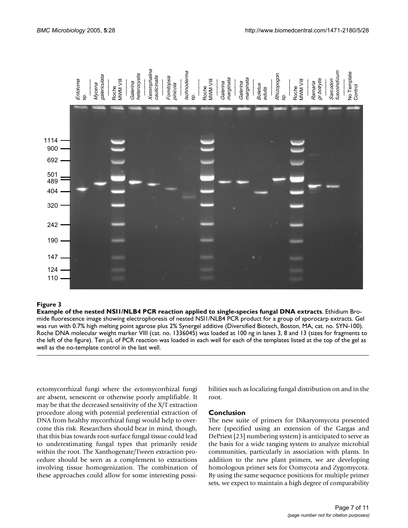<span id="page-6-0"></span>

### Example of the nested NSI1/NLB4 PCR reaction **Figure 3** applied to single-species fungal DNA extracts

**Example of the nested NSI1/NLB4 PCR reaction applied to single-species fungal DNA extracts**. Ethidium Bromide fluorescence image showing electrophoresis of nested NSI1/NLB4 PCR product for a group of sporocarp extracts. Gel was run with 0.7% high melting point agarose plus 2% Synergel additive (Diversified Biotech, Boston, MA, cat. no. SYN-100). Roche DNA molecular weight marker VIII (cat. no. 1336045) was loaded at 100 ng in lanes 3, 8 and 13 (sizes for fragments to the left of the figure). Ten µL of PCR reaction was loaded in each well for each of the templates listed at the top of the gel as well as the no-template control in the last well.

ectomycorrhizal fungi where the ectomycorrhizal fungi are absent, senescent or otherwise poorly amplifiable. It may be that the decreased sensitivity of the X/T extraction procedure along with potential preferential extraction of DNA from healthy mycorrhizal fungi would help to overcome this risk. Researchers should bear in mind, though, that this bias towards root-surface fungal tissue could lead to underestimating fungal types that primarily reside within the root. The Xanthogenate/Tween extraction procedure should be seen as a complement to extractions involving tissue homogenization. The combination of these approaches could allow for some interesting possibilities such as localizing fungal distribution on and in the root.

#### **Conclusion**

The new suite of primers for Dikaryomycota presented here (specified using an extension of the Gargas and DePriest [23] numbering system) is anticipated to serve as the basis for a wide ranging system to analyze microbial communities, particularly in association with plants. In addition to the new plant primers, we are developing homologous primer sets for Oomycota and Zygomycota. By using the same sequence positions for multiple primer sets, we expect to maintain a high degree of comparability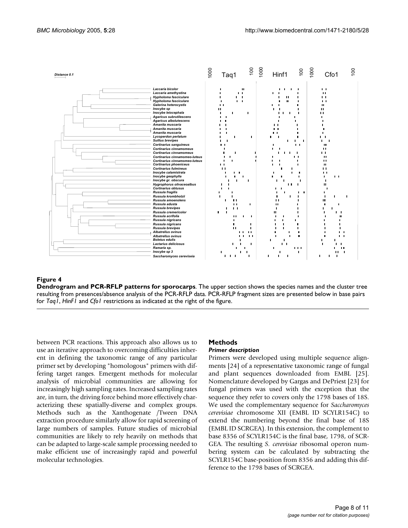<span id="page-7-0"></span>

#### **Figure 4**

**Dendrogram and PCR-RFLP patterns for sporocarps**. The upper section shows the species names and the cluster tree resulting from presences/absence analysis of the PCR-RFLP data. PCR-RFLP fragment sizes are presented below in base pairs for *Taq1*, *HinF1* and *Cfo1* restrictions as indicated at the right of the figure.

between PCR reactions. This approach also allows us to use an iterative approach to overcoming difficulties inherent in defining the taxonomic range of any particular primer set by developing "homologous" primers with differing target ranges. Emergent methods for molecular analysis of microbial communities are allowing for increasingly high sampling rates. Increased sampling rates are, in turn, the driving force behind more effectively characterizing these spatially-diverse and complex groups. Methods such as the Xanthogenate /Tween DNA extraction procedure similarly allow for rapid screening of large numbers of samples. Future studies of microbial communities are likely to rely heavily on methods that can be adapted to large-scale sample processing needed to make efficient use of increasingly rapid and powerful molecular technologies.

#### **Methods** *Primer description*

Primers were developed using multiple sequence alignments [24] of a representative taxonomic range of fungal and plant sequences downloaded from EMBL [25]. Nomenclature developed by Gargas and DePriest [23] for fungal primers was used with the exception that the sequence they refer to covers only the 1798 bases of 18S. We used the complementary sequence for *Saccharomyces cerevisiae* chromosome XII (EMBL ID SCYLR154C) to extend the numbering beyond the final base of 18S (EMBL ID SCRGEA). In this extension, the complement to base 8356 of SCYLR154C is the final base, 1798, of SCR-GEA. The resulting *S. cerevisiae* ribosomal operon numbering system can be calculated by subtracting the SCYLR154C base-position from 8356 and adding this difference to the 1798 bases of SCRGEA.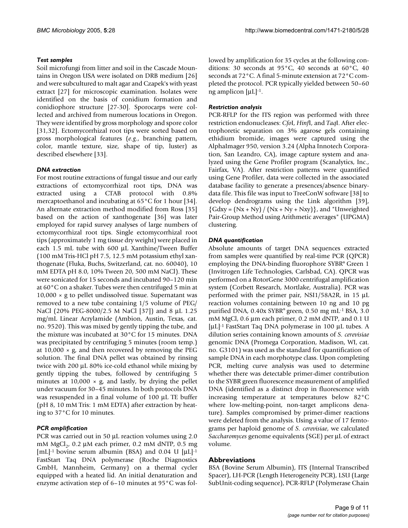# *Test samples*

Soil microfungi from litter and soil in the Cascade Mountains in Oregon USA were isolated on DRB medium [26] and were subcultured to malt agar and Czapek's with yeast extract [27] for microscopic examination. Isolates were identified on the basis of conidium formation and conidiophore structure [27-30]. Sporocarps were collected and archived from numerous locations in Oregon. They were identified by gross morphology and spore color [31,32]. Ectomycorrhizal root tips were sorted based on gross morphological features (*e.g.*, branching pattern, color, mantle texture, size, shape of tip, luster) as described elsewhere [33].

# *DNA extraction*

For most routine extractions of fungal tissue and our early extractions of ectomycorrhizal root tips, DNA was extracted using a CTAB protocol with 0.8% mercaptoethanol and incubating at 65°C for 1 hour [34]. An alternate extraction method modified from Ross [35] based on the action of xanthogenate [36] was later employed for rapid survey analyses of large numbers of ectomycorrhizal root tips. Single ectomycorrhizal root tips (approximately 1 mg tissue dry weight) were placed in each 1.5 mL tube with 600 µL Xanthine/Tween Buffer (100 mM Tris-HCl pH 7.5, 12.5 mM potassium ethyl xanthogenate (Fluka, Buchs, Switzerland, cat. no. 60040), 10 mM EDTA pH 8.0, 10% Tween 20, 500 mM NaCl). These were sonicated for 15 seconds and incubated 90–120 min at 60°C on a shaker. Tubes were then centrifuged 5 min at  $10,000 \times$  g to pellet undissolved tissue. Supernatant was removed to a new tube containing 1/5 volume of PEG/ NaCl (20% PEG-8000/2.5 M NaCl [37]) and 8 µL 1.25 mg/mL Linear Acrylamide (Ambion, Austin, Texas, cat. no. 9520). This was mixed by gently tipping the tube, and the mixture was incubated at 30°C for 15 minutes. DNA was precipitated by centrifuging 5 minutes (room temp.) at 10,000  $\times$  g, and then recovered by removing the PEG solution. The final DNA pellet was obtained by rinsing twice with 200 µL 80% ice-cold ethanol while mixing by gently tipping the tubes, followed by centrifuging 5 minutes at  $10,000 \times g$ , and lastly, by drying the pellet under vacuum for 30–45 minutes. In both protocols DNA was resuspended in a final volume of 100 µL TE buffer (pH 8, 10 mM Tris: 1 mM EDTA) after extraction by heating to 37°C for 10 minutes.

# *PCR amplification*

PCR was carried out in 50 µL reaction volumes using 2.0 mM  $MgCl<sub>2</sub>$ , 0.2 µM each primer, 0.2 mM dNTP, 0.5 mg [mL]<sup>-1</sup> bovine serum albumin (BSA) and 0.04 U [ $\mu$ L]<sup>-1</sup> FastStart Taq DNA polymerase (Roche Diagnostics GmbH, Mannheim, Germany) on a thermal cycler equipped with a heated lid. An initial denaturation and enzyme activation step of 6–10 minutes at 95°C was followed by amplification for 35 cycles at the following conditions: 30 seconds at 95°C, 40 seconds at 60°C, 40 seconds at 72°C. A final 5-minute extension at 72°C completed the protocol. PCR typically yielded between 50–60 ng amplicon  $[\mu L]^{-1}$ .

# *Restriction analysis*

PCR-RFLP for the ITS region was performed with three restriction endonucleases: *Cfo*I, *Hinf*I, and *Taq*I. After electrophoretic separation on 3% agarose gels containing ethidium bromide, images were captured using the AlphaImager 950, version 3.24 (Alpha Innotech Corporation, San Leandro, CA), image capture system and analyzed using the Gene Profiler program (Scanalytics, Inc., Fairfax, VA). After restriction patterns were quantified using Gene Profiler, data were collected in the associated database facility to generate a presences/absence binarydata file. This file was input to TreeConW software [38] to develop dendrograms using the Link algorithm [39],  ${Gdxy = (Nx + Ny) / (Nx + Ny + Nxy)}$ , and "Unweighted Pair-Group Method using Arithmetic averages" (UPGMA) clustering.

# *DNA quantification*

Absolute amounts of target DNA sequences extracted from samples were quantified by real-time PCR (QPCR) employing the DNA-binding fluorophore SYBR® Green 1 (Invitrogen Life Technologies, Carlsbad, CA). QPCR was performed on a RotorGene 3000 centrifugal amplification system (Corbett Research, Mortlake, Australia). PCR was performed with the primer pair, NSI1/58A2R, in 15 µL reaction volumes containing between 10 ng and 10 pg purified DNA, 0.40x SYBR® green, 0.50 mg mL-1 BSA, 3.0 mM MgCl, 0.6  $\mu$ m each primer, 0.2 mM dNTP, and 0.1 U [µL]-1 FastStart Taq DNA polymerase in 100 µL tubes. A dilution series containing known amounts of *S. cerevisiae* genomic DNA (Promega Corporation, Madison, WI, cat. no. G3101) was used as the standard for quantification of sample DNA in each morphotype class. Upon completing PCR, melting curve analysis was used to determine whether there was detectable primer-dimer contribution to the SYBR green fluorescence measurement of amplified DNA (identified as a distinct drop in fluorescence with increasing temperature at temperatures below 82°C where low-melting-point, non-target amplicons denature). Samples compromised by primer-dimer reactions were deleted from the analysis. Using a value of 17 femtograms per haploid genome of *S. cerevisiae*, we calculated *Saccharomyces* genome equivalents (SGE) per µL of extract volume.

# **Abbreviations**

BSA (Bovine Serum Albumin), ITS (Internal Transcribed Spacer), LH-PCR (Length Heterogeneity PCR), LSU (Large SubUnit-coding sequence), PCR-RFLP (Polymerase Chain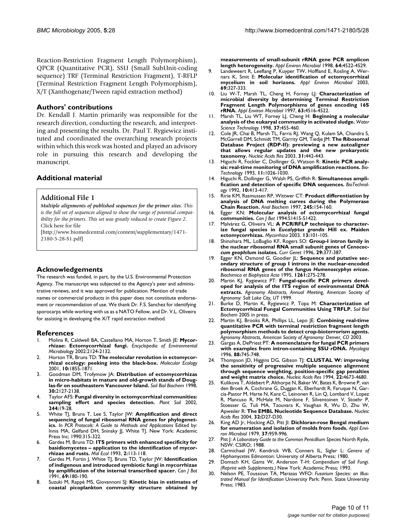Reaction-Restriction Fragment Length Polymorphism), QPCR (Quantitative PCR), SSU (Small SubUnit-coding sequence) TRF (Terminal Restriction Fragment), T-RFLP (Terminal Restriction Fragment Length Polymorphism), X/T (Xanthogenate/Tween rapid extraction method)

### **Authors' contributions**

Dr. Kendall J. Martin primarily was responsible for the research direction, conducting the research, and interpreting and presenting the results. Dr. Paul T. Rygiewicz instituted and coordinated the overarching research projects within which this work was hosted and played an advisory role in pursuing this research and developing the manuscript.

# **Additional material**

#### **Additional File 1**

*Multiple alignments of published sequences for the primer sites. This is the full set of sequences aligned to show the range of potential compatibility for the primers. This set was greatly reduced to create Figure 2.* Click here for file

[\[http://www.biomedcentral.com/content/supplementary/1471-](http://www.biomedcentral.com/content/supplementary/1471-2180-5-28-S1.pdf) 2180-5-28-S1.pdf]

# **Acknowledgements**

The research was funded, in part, by the U.S. Environmental Protection Agency. The manuscript was subjected to the Agency's peer and administrative reviews, and it was approved for publication. Mention of trade names or commercial products in this paper does not constitute endorsement or recommendation of use. We thank Dr. F.S. Sanchez for identifying sporocarps while working with us as a NATO Fellow, and Dr. V.L. Oliveira for assisting in developing the X/T rapid extraction method.

#### **References**

- 1. Molina R, Caldwell BA, Castellano MA, Horton T, Smith JE: **Mycorrhizae: Ectomycorrhizal fungi.** *Encyclopedia of Environmental Microbiology* 2002:2124-2132.
- Horton TR, Bruns TD: **[The molecular revolution in ectomycor](http://www.ncbi.nlm.nih.gov/entrez/query.fcgi?cmd=Retrieve&db=PubMed&dopt=Abstract&list_uids=11555231)[rhizal ecology: peeking into the black-box.](http://www.ncbi.nlm.nih.gov/entrez/query.fcgi?cmd=Retrieve&db=PubMed&dopt=Abstract&list_uids=11555231)** *Molecular Ecology* 2001, **10:**1855-1871.
- 3. Goodman DM, Trofymow JA: **Distribution of ectomycorrhizas in micro-habitats in mature and old-growth stands of Douglas-fir on southeastern Vancouver Island.** *Soil Biol Biochem* 1998, **30:**2127-2138.
- 4. Taylor AFS: **Fungal diversity in ectomycorrhizal communities: sampling effort and species detection.** *Plant Soil* 2002, **244:**19-28.
- 5. White TJ, Bruns T, Lee S, Taylor JW: **Amplification and direct sequencing of fungal ribosomal RNA genes for phylogenetics.** In *PCR Protocols: A Guide to Methods and Applications* Edited by: Innis MA, Gelfand DH, Sninsky JJ, White TJ. New York: Academic Press Inc; 1990:315-322.
- 6. Gardes M, Bruns TD: **[ITS primers with enhanced specificity for](http://www.ncbi.nlm.nih.gov/entrez/query.fcgi?cmd=Retrieve&db=PubMed&dopt=Abstract&list_uids=8180733) [basidiomycetes – application to the identification of mycor](http://www.ncbi.nlm.nih.gov/entrez/query.fcgi?cmd=Retrieve&db=PubMed&dopt=Abstract&list_uids=8180733)[rhizae and rusts.](http://www.ncbi.nlm.nih.gov/entrez/query.fcgi?cmd=Retrieve&db=PubMed&dopt=Abstract&list_uids=8180733)** *Mol Ecol* 1993, **2:**113-118.
- 7. Gardes M, Fortin J, White TJ, Bruns TD, Taylor JW: **Identification of indigenous and introduced symbiotic fungi in mycorrhizae by amplification of the internal transcribed spacer.** *Can J Bot* 1991, **69:**180-190.
- 8. Suzuki M, Rappé MS, Giovannoni SJ: **[Kinetic bias in estimates of](http://www.ncbi.nlm.nih.gov/entrez/query.fcgi?cmd=Retrieve&db=PubMed&dopt=Abstract&list_uids=9797317) [coastal picoplankton community structure obtained by](http://www.ncbi.nlm.nih.gov/entrez/query.fcgi?cmd=Retrieve&db=PubMed&dopt=Abstract&list_uids=9797317)**

**[measurements of small-subunit rRNA gene PCR amplicon](http://www.ncbi.nlm.nih.gov/entrez/query.fcgi?cmd=Retrieve&db=PubMed&dopt=Abstract&list_uids=9797317) [length heterogeneity.](http://www.ncbi.nlm.nih.gov/entrez/query.fcgi?cmd=Retrieve&db=PubMed&dopt=Abstract&list_uids=9797317)** *Appl Environ Microbiol* 1998, **64:**4522-4529.

- 9. Landeweert R, Leeflang P, Kuyper TW, Hoffland E, Rosling A, Wernars K, Smit E: **[Molecular identification of ectomycorrhizal](http://www.ncbi.nlm.nih.gov/entrez/query.fcgi?cmd=Retrieve&db=PubMed&dopt=Abstract&list_uids=12514012) [mycelium in soil horizons.](http://www.ncbi.nlm.nih.gov/entrez/query.fcgi?cmd=Retrieve&db=PubMed&dopt=Abstract&list_uids=12514012)** *Appl Environ Microbiol* 2003, **69:**327-333.
- 10. Liu W-T, Marsh TL, Cheng H, Forney LJ: **[Characterization of](http://www.ncbi.nlm.nih.gov/entrez/query.fcgi?cmd=Retrieve&db=PubMed&dopt=Abstract&list_uids=9361437) microbial diversity by determining Terminal Restriction [Fragment Length Polymorphisms of genes encoding 16S](http://www.ncbi.nlm.nih.gov/entrez/query.fcgi?cmd=Retrieve&db=PubMed&dopt=Abstract&list_uids=9361437) [rRNA.](http://www.ncbi.nlm.nih.gov/entrez/query.fcgi?cmd=Retrieve&db=PubMed&dopt=Abstract&list_uids=9361437)** *Appl Environ Microbiol* 1997, **63:**4516-4522.
- 11. Marsh TL, Liu WT, Forney LJ, Cheng H: **Beginning a molecular analysis of the eukaryal community in activated sludge.** *Water Science Technology* 1998, **37:**455-460.
- 12. Cole JR, Chai B, Marsh TL, Farris RJ, Wang Q, Kulam SA, Chandra S, McGarrell DM, Schmidt TM, Garrity GM, Tiedje JM: **[The Ribosomal](http://www.ncbi.nlm.nih.gov/entrez/query.fcgi?cmd=Retrieve&db=PubMed&dopt=Abstract&list_uids=12520046) Database Project (RDP-II): previewing a new autoaligner [that allows regular updates and the new prokaryotic](http://www.ncbi.nlm.nih.gov/entrez/query.fcgi?cmd=Retrieve&db=PubMed&dopt=Abstract&list_uids=12520046) [taxonomy.](http://www.ncbi.nlm.nih.gov/entrez/query.fcgi?cmd=Retrieve&db=PubMed&dopt=Abstract&list_uids=12520046)** *Nucleic Acids Res* 2003, **31:**442-443.
- 13. Higuchi R, Fockler C, Dollinger G, Watson R: **[Kinetic PCR analy](http://www.ncbi.nlm.nih.gov/entrez/query.fcgi?cmd=Retrieve&db=PubMed&dopt=Abstract&list_uids=7764001)[sis: real-time monitoring of DNA amplification reactions.](http://www.ncbi.nlm.nih.gov/entrez/query.fcgi?cmd=Retrieve&db=PubMed&dopt=Abstract&list_uids=7764001)** *Bio-Technology* 1993, **11:**1026-1030.
- 14. Higuchi R, Dollinger G, Walsh PS, Griffith R: **[Simultaneous ampli](http://www.ncbi.nlm.nih.gov/entrez/query.fcgi?cmd=Retrieve&db=PubMed&dopt=Abstract&list_uids=1368485)[fication and detection of specific DNA sequences.](http://www.ncbi.nlm.nih.gov/entrez/query.fcgi?cmd=Retrieve&db=PubMed&dopt=Abstract&list_uids=1368485)** *BioTechnology* 1992, **10:**413-417.
- 15. Ririe KM, Rasmussen RP, Wittwer CT: **[Product differentiation by](http://www.ncbi.nlm.nih.gov/entrez/query.fcgi?cmd=Retrieve&db=PubMed&dopt=Abstract&list_uids=9056205) [analysis of DNA melting curves during the Polymerase](http://www.ncbi.nlm.nih.gov/entrez/query.fcgi?cmd=Retrieve&db=PubMed&dopt=Abstract&list_uids=9056205) [Chain Reaction.](http://www.ncbi.nlm.nih.gov/entrez/query.fcgi?cmd=Retrieve&db=PubMed&dopt=Abstract&list_uids=9056205)** *Anal Biochem* 1997, **245:**154-160.
- 16. Egger KN: **Molecular analysis of ectomycorrhizal fungal communities.** *Can J Bot* 1994:S1415-S1422.
- <span id="page-9-0"></span>17. Malvárez G, Oliveira VL: **A PCR/RFLP technique to characterize fungal species in** *Eucalyptus grandis* **[Hill ex. Maiden](http://www.ncbi.nlm.nih.gov/entrez/query.fcgi?cmd=Retrieve&db=PubMed&dopt=Abstract&list_uids=12682832) [ectomycorrhizas.](http://www.ncbi.nlm.nih.gov/entrez/query.fcgi?cmd=Retrieve&db=PubMed&dopt=Abstract&list_uids=12682832)** *Mycorrhiza* 2003, **13:**101-105.
- 18. Shinohara ML, LoBuglio KF, Rogers SO: **Group-I intron family in the nuclear ribosomal RNA small subunit genes of** *Cenococcum geophilum* **[isolates.](http://www.ncbi.nlm.nih.gov/entrez/query.fcgi?cmd=Retrieve&db=PubMed&dopt=Abstract&list_uids=8598059)** *Curr Genet* 1996, **29:**377-387.
- 19. Egger KN, Osmond G, Goodier JL: **Sequence and putative secondary structure of group I introns in the nuclear-encoded ribosomal RNA genes of the fungus** *Humenoscyphys ericae***[.](http://www.ncbi.nlm.nih.gov/entrez/query.fcgi?cmd=Retrieve&db=PubMed&dopt=Abstract&list_uids=7711072)** *Biochimica et Biophysica Acta* 1995, **1261:**275-278.
- 20. Martin KJ, Rygiewicz PT: **Fungal-specific PCR primers developed for analysis of the ITS region of environmental DNA extracts.** *Agronomy Abstracts, Annual Meeting, American Society of Agronomy: Salt Lake City, UT* 1999.
- 21. Burke D, Martin K, Rygiewicz P, Topa M: **Characterization of Ectomycorrhizal Fungal Communities Using TRFLP.** *Soil Biol Biochem* 2005 in press.
- 22. Martin KJ, Brooks RA, Phillips LL, Lepo JE: **Combining real-time quantitative PCR with terminal restriction fragment length polymorphism methods to detect crop-bioterrorism agents.** *Agronomy Abstracts, American Society of Agronomy: Denver, CO* 2003.
- 23. Gargas A, DePriest PT: **A nomenclature for fungal PCR primers with examples from intron-containing SSU rDNA.** *Mycologia* 1996, **88:**745-748.
- 24. Thompson JD, Higgins DG, Gibson TJ: **[CLUSTAL W: improving](http://www.ncbi.nlm.nih.gov/entrez/query.fcgi?cmd=Retrieve&db=PubMed&dopt=Abstract&list_uids=7984417) [the sensitivity of progressive multiple sequence alignment](http://www.ncbi.nlm.nih.gov/entrez/query.fcgi?cmd=Retrieve&db=PubMed&dopt=Abstract&list_uids=7984417) through sequence weighting, position-specific gap penalties [and weight matrix choice.](http://www.ncbi.nlm.nih.gov/entrez/query.fcgi?cmd=Retrieve&db=PubMed&dopt=Abstract&list_uids=7984417)** *Nucleic Acids Res* 1994, **22:**4673-4680.
- Kulikova T, Aldebert P, Althorpe N, Baker W, Bates K, Browne P, van den Broek A, Cochrane G, Duggan K, Eberhardt R, Faruque N, Garcia-Pastor M, Harte N, Kanz C, Leinonen R, Lin Q, Lombard V, Lopez R, Mancuso R, McHale M, Nardone F, Silventoinen V, Stoehr P, Stoesser G, Tuli MA, Tzouvara K, Vaughan R, Wu D, Zhu W, Apweiler R: **[The EMBL Nucleotide Sequence Database.](http://www.ncbi.nlm.nih.gov/entrez/query.fcgi?cmd=Retrieve&db=PubMed&dopt=Abstract&list_uids=14681351)** *Nucleic Acids Res* 2004, **32:**D27-D30.
- 26. King AD Jr, Hocking AD, Pitt JI: **[Dichloran-rose Bengal medium](http://www.ncbi.nlm.nih.gov/entrez/query.fcgi?cmd=Retrieve&db=PubMed&dopt=Abstract&list_uids=485140) [for enumeration and isolation of molds from foods.](http://www.ncbi.nlm.nih.gov/entrez/query.fcgi?cmd=Retrieve&db=PubMed&dopt=Abstract&list_uids=485140)** *Appl Environ Microbiol* 1979, **37:**959-996.
- 27. Pitt J: *A Laboratory Guide to the Common Penicillium Species* North Ryde, NSW: CSIRO; 1988.
- 28. Carmichael JW, Kendrick WB, Conners IL, Sigler L: *Genera of Hyphomycetes* Edmonton: University of Alberta Press; 1980.
- 29. Domsch KH, Gams W, Anderson T-H: *Compendium of Soil Fungi. (Reprint with Supplements.)* New York: Academic Press; 1993.
- 30. Nelson PE, Toussoun TA, Marasas WFO: *Fusarium Species: an Illustrated Manual for Identification* University Park: Penn. State University Press; 1983.